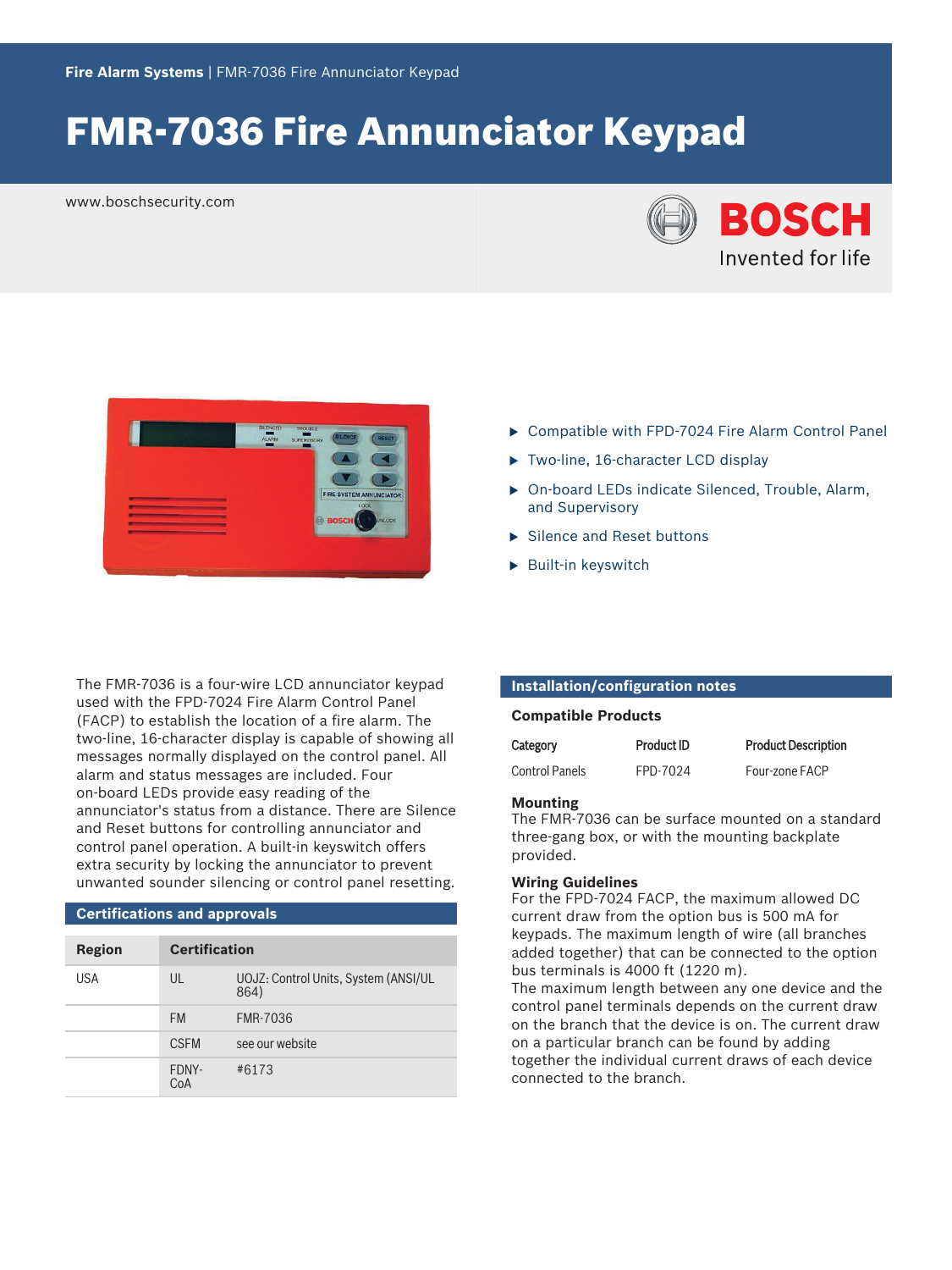# FMR‑7036 Fire Annunciator Keypad

www.boschsecurity.com





The FMR-7036 is a four-wire LCD annunciator keypad used with the FPD‑7024 Fire Alarm Control Panel (FACP) to establish the location of a fire alarm. The two-line, 16-character display is capable of showing all messages normally displayed on the control panel. All alarm and status messages are included. Four on‑board LEDs provide easy reading of the annunciator's status from a distance. There are Silence and Reset buttons for controlling annunciator and control panel operation. A built-in keyswitch offers extra security by locking the annunciator to prevent unwanted sounder silencing or control panel resetting.

### **Certifications and approvals**

| <b>Region</b> | <b>Certification</b> |                                              |
|---------------|----------------------|----------------------------------------------|
| USA           | UL                   | UOJZ: Control Units, System (ANSI/UL<br>864) |
|               | <b>FM</b>            | <b>FMR-7036</b>                              |
|               | <b>CSFM</b>          | see our website                              |
|               | FDNY-<br>CoA         | #6173                                        |

- ▶ Compatible with FPD-7024 Fire Alarm Control Panel
- ▶ Two-line, 16-character LCD display
- ▶ On-board LEDs indicate Silenced, Trouble, Alarm, and Supervisory
- $\blacktriangleright$  Silence and Reset buttons
- $\blacktriangleright$  Built-in keyswitch

### **Installation/configuration notes**

#### **Compatible Products**

| Category              | <b>Product ID</b> | <b>Product Description</b> |
|-----------------------|-------------------|----------------------------|
| <b>Control Panels</b> | FPD-7024          | Four-zone FACP             |

#### **Mounting**

The FMR‑7036 can be surface mounted on a standard three‑gang box, or with the mounting backplate provided.

#### **Wiring Guidelines**

For the FPD-7024 FACP, the maximum allowed DC current draw from the option bus is 500 mA for keypads. The maximum length of wire (all branches added together) that can be connected to the option bus terminals is 4000 ft (1220 m).

The maximum length between any one device and the control panel terminals depends on the current draw on the branch that the device is on. The current draw on a particular branch can be found by adding together the individual current draws of each device connected to the branch.